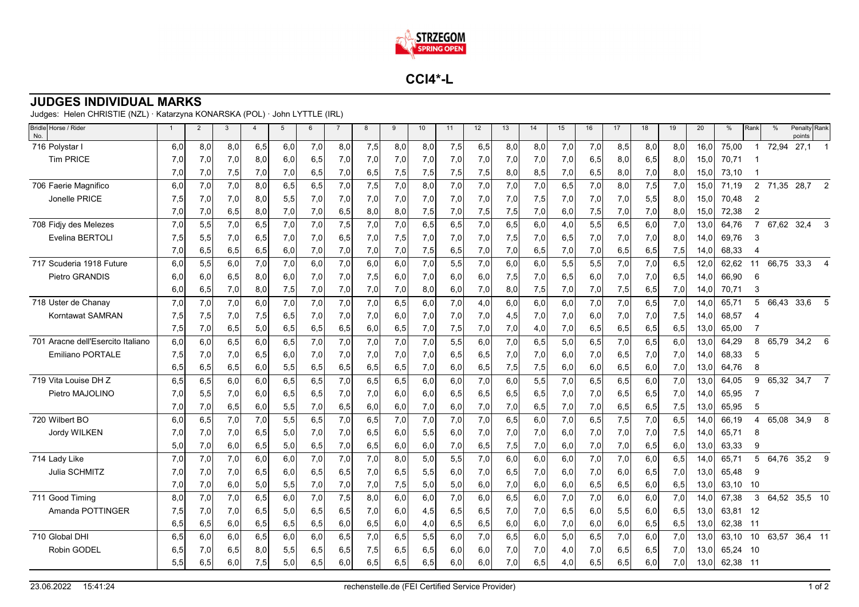

**CCI4\*-L**

## **JUDGES INDIVIDUAL MARKS**

Judges: Helen CHRISTIE (NZL) · Katarzyna KONARSKA (POL) · John LYTTLE (IRL)

| Bridle Horse / Rider<br>No.       | $\mathbf{1}$ | $\overline{2}$ | $\mathbf{3}$ | $\overline{4}$ | 5    | $6\phantom{1}$ | $\overline{7}$ | 8   | 9   | 10  | 11  | 12  | 13  | 14  | 15  | 16  | 17   | 18  | 19   | 20   | $\%$  | Rank           | $\frac{0}{0}$ | Penalty Rank<br>points |                |
|-----------------------------------|--------------|----------------|--------------|----------------|------|----------------|----------------|-----|-----|-----|-----|-----|-----|-----|-----|-----|------|-----|------|------|-------|----------------|---------------|------------------------|----------------|
| 716 Polystar I                    | 6.0          | 8,0            | 8,0          | 6,5            | 6,0  | 7,0            | 8,0            | 7,5 | 8,0 | 8,0 | 7,5 | 6,5 | 8,0 | 8,0 | 7,0 | 7,0 | 8,5  | 8,0 | 8,0  | 16.0 | 75,00 |                | 72,94         | 27,1                   |                |
| <b>Tim PRICE</b>                  | 7.0          | 7,0            | 7,0          | 8,0            | 6,0  | 6,5            | 7,0            | 7,0 | 7,0 | 7,0 | 7,0 | 7,0 | 7,0 | 7,0 | 7,0 | 6,5 | 8,0  | 6,5 | 8,0  | 15,0 | 70,71 |                |               |                        |                |
|                                   | 7,0          | 7,0            | 7,5          | 7,0            | 7,0  | 6,5            | 7,0            | 6,5 | 7,5 | 7,5 | 7,5 | 7,5 | 8,0 | 8,5 | 7,0 | 6,5 | 8,0  | 7,0 | 8,0  | 15,0 | 73,10 |                |               |                        |                |
| 706 Faerie Magnifico              | 6,0          | 7,0            | 7,0          | 8,0            | 6,5  | 6,5            | 7,0            | 7,5 | 7,0 | 8,0 | 7,0 | 7,0 | 7,0 | 7,0 | 6,5 | 7,0 | 8,0  | 7,5 | 7,0  | 15,0 | 71.19 | $\overline{2}$ | 71,35         | 28,7                   | 2              |
| Jonelle PRICE                     | 7,5          | 7,0            | 7,0          | 8,0            | 5,5  | 7,0            | 7,0            | 7,0 | 7,0 | 7,0 | 7,0 | 7,0 | 7,0 | 7,5 | 7,0 | 7,0 | 7,0  | 5,5 | 8,0  | 15,0 | 70,48 | $\overline{2}$ |               |                        |                |
|                                   | 7,0          | 7,0            | 6,5          | 8,0            | 7,0  | 7,0            | 6,5            | 8,0 | 8,0 | 7,5 | 7,0 | 7,5 | 7,5 | 7,0 | 6,0 | 7,5 | 7,0  | 7,0 | 8,0  | 15,0 | 72,38 | $\overline{2}$ |               |                        |                |
| 708 Fidjy des Melezes             | 7,0          | 5,5            | 7,0          | 6,5            | 7,0  | 7,0            | 7,5            | 7,0 | 7,0 | 6,5 | 6,5 | 7,0 | 6,5 | 6,0 | 4,0 | 5,5 | 6,5  | 6,0 | 7,0  | 13.0 | 64.76 | $\overline{7}$ | 67,62         | 32,4                   | 3              |
| Evelina BERTOLI                   | 7,5          | 5,5            | 7,0          | 6,5            | 7,0  | 7,0            | 6,5            | 7,0 | 7,5 | 7,0 | 7,0 | 7,0 | 7,5 | 7,0 | 6,5 | 7,0 | 7,0  | 7,0 | 8,0  | 14,0 | 69,76 | 3              |               |                        |                |
|                                   | 7,0          | 6,5            | 6,5          | 6,5            | 6,0  | 7,0            | 7,0            | 7,0 | 7,0 | 7,5 | 6,5 | 7,0 | 7,0 | 6,5 | 7,0 | 7,0 | 6,5  | 6,5 | 7,5  | 14,0 | 68,33 | 4              |               |                        |                |
| 717 Scuderia 1918 Future          | 6,0          | 5,5            | 6,0          | 7,0            | 7,0  | 6,0            | 7,0            | 6,0 | 6,0 | 7,0 | 5,5 | 7,0 | 6,0 | 6,0 | 5,5 | 5,5 | 7,0  | 7,0 | 6,5  | 12,0 | 62,62 | 11             | 66,75         | 33,3                   | $\overline{4}$ |
| Pietro GRANDIS                    | 6.0          | 6,0            | 6,5          | 8,0            | 6,0  | 7,0            | 7,0            | 7,5 | 6,0 | 7,0 | 6,0 | 6,0 | 7,5 | 7,0 | 6,5 | 6,0 | 7,0  | 7,0 | 6,5  | 14,0 | 66,90 | 6              |               |                        |                |
|                                   | 6,0          | 6,5            | 7,0          | 8,0            | 7,5  | 7,0            | 7,0            | 7,0 | 7,0 | 8,0 | 6,0 | 7,0 | 8,0 | 7,5 | 7,0 | 7,0 | 7,5  | 6,5 | 7,0  | 14,0 | 70,71 | 3              |               |                        |                |
| 718 Uster de Chanay               | 7,0          | 7,0            | 7,0          | 6,0            | 7,0  | 7,0            | 7,0            | 7,0 | 6,5 | 6,0 | 7,0 | 4,0 | 6,0 | 6,0 | 6,0 | 7,0 | 7,0  | 6,5 | 7,0  | 14.0 | 65,71 | 5              | 66,43         | 33,6                   | 5              |
| <b>Korntawat SAMRAN</b>           | 7,5          | 7,5            | 7,0          | 7,5            | 6,5  | 7,0            | 7,0            | 7,0 | 6,0 | 7,0 | 7,0 | 7,0 | 4,5 | 7,0 | 7,0 | 6,0 | 7,0  | 7,0 | 7,5  | 14,0 | 68,57 | 4              |               |                        |                |
|                                   | 7,5          | 7,0            | 6,5          | 5,0            | 6,5  | 6,5            | 6,5            | 6,0 | 6,5 | 7,0 | 7,5 | 7,0 | 7,0 | 4,0 | 7,0 | 6,5 | 6,5  | 6,5 | 6,5  | 13,0 | 65,00 | 7              |               |                        |                |
| 701 Aracne dell'Esercito Italiano | 6,0          | 6,0            | 6,5          | 6,0            | 6, 5 | 7,0            | 7,0            | 7,0 | 7,0 | 7,0 | 5,5 | 6,0 | 7,0 | 6,5 | 5,0 | 6,5 | 7,0  | 6,5 | 6,0  | 13,0 | 64,29 | 8              | 65,79         | 34,2                   | 6              |
| <b>Emiliano PORTALE</b>           | 7,5          | 7,0            | 7,0          | 6,5            | 6,0  | 7,0            | 7,0            | 7,0 | 7,0 | 7,0 | 6,5 | 6,5 | 7,0 | 7,0 | 6,0 | 7,0 | 6,5  | 7,0 | 7,0  | 14,0 | 68,33 | 5              |               |                        |                |
|                                   | 6.5          | 6,5            | 6,5          | 6,0            | 5,5  | 6,5            | 6,5            | 6,5 | 6,5 | 7,0 | 6,0 | 6,5 | 7,5 | 7,5 | 6,0 | 6,0 | 6,5  | 6,0 | 7,0  | 13,0 | 64,76 | 8              |               |                        |                |
| 719 Vita Louise DH Z              | 6.5          | 6,5            | 6,0          | 6,0            | 6, 5 | 6,5            | 7,0            | 6,5 | 6.5 | 6,0 | 6,0 | 7,0 | 6,0 | 5,5 | 7,0 | 6,5 | 6, 5 | 6,0 | 7,0  | 13.0 | 64,05 | 9              |               | 65,32 34,7 7           |                |
| Pietro MAJOLINO                   | 7,0          | 5,5            | 7,0          | 6,0            | 6,5  | 6,5            | 7,0            | 7,0 | 6,0 | 6,0 | 6,5 | 6,5 | 6,5 | 6,5 | 7,0 | 7,0 | 6,5  | 6,5 | 7,0  | 14,0 | 65,95 |                |               |                        |                |
|                                   | 7,0          | 7,0            | 6,5          | 6,0            | 5,5  | 7,0            | 6,5            | 6,0 | 6,0 | 7,0 | 6,0 | 7,0 | 7,0 | 6,5 | 7,0 | 7,0 | 6,5  | 6,5 | 7,5  | 13,0 | 65,95 | 5              |               |                        |                |
| 720 Wilbert BO                    | 6,0          | 6,5            | 7,0          | 7,0            | 5,5  | 6,5            | 7,0            | 6,5 | 7,0 | 7,0 | 7,0 | 7,0 | 6,5 | 6,0 | 7,0 | 6,5 | 7,5  | 7,0 | 6, 5 | 14,0 | 66,19 | 4              | 65,08         | 34,9                   | 8              |
| Jordy WILKEN                      | 7,0          | 7,0            | 7,0          | 6,5            | 5,0  | 7,0            | 7,0            | 6,5 | 6,0 | 5,5 | 6,0 | 7,0 | 7,0 | 7,0 | 6,0 | 7,0 | 7,0  | 7,0 | 7,5  | 14.0 | 65,71 | 8              |               |                        |                |
|                                   | 5,0          | 7,0            | 6,0          | 6,5            | 5,0  | 6,5            | 7,0            | 6,5 | 6,0 | 6,0 | 7,0 | 6,5 | 7,5 | 7,0 | 6,0 | 7,0 | 7,0  | 6,5 | 6,0  | 13,0 | 63,33 | 9              |               |                        |                |
| 714 Lady Like                     | 7,0          | 7,0            | 7,0          | 6,0            | 6,0  | 7,0            | 7,0            | 7,0 | 8,0 | 5,0 | 5,5 | 7,0 | 6,0 | 6,0 | 6,0 | 7,0 | 7,0  | 6,0 | 6,5  | 14,0 | 65,71 | 5              | 64,76         | 35,2                   | 9              |
| Julia SCHMITZ                     | 7,0          | 7,0            | 7,0          | 6,5            | 6,0  | 6,5            | 6,5            | 7,0 | 6,5 | 5,5 | 6,0 | 7,0 | 6,5 | 7,0 | 6,0 | 7,0 | 6,0  | 6,5 | 7,0  | 13,0 | 65,48 | 9              |               |                        |                |
|                                   | 7,0          | 7,0            | 6,0          | 5,0            | 5,5  | 7,0            | 7,0            | 7,0 | 7,5 | 5,0 | 5,0 | 6,0 | 7,0 | 6,0 | 6,0 | 6,5 | 6,5  | 6,0 | 6,5  | 13,0 | 63,10 | 10             |               |                        |                |
| 711 Good Timing                   | 8.0          | 7,0            | 7,0          | 6,5            | 6,0  | 7,0            | 7,5            | 8,0 | 6,0 | 6,0 | 7,0 | 6,0 | 6,5 | 6,0 | 7,0 | 7,0 | 6,0  | 6,0 | 7,0  | 14.0 | 67,38 | 3              | 64,52         | 35,5 10                |                |
| Amanda POTTINGER                  | 7,5          | 7,0            | 7,0          | 6,5            | 5,0  | 6,5            | 6,5            | 7,0 | 6,0 | 4,5 | 6,5 | 6,5 | 7,0 | 7,0 | 6,5 | 6,0 | 5,5  | 6,0 | 6,5  | 13,0 | 63,81 | -12            |               |                        |                |
|                                   | 6.5          | 6,5            | 6,0          | 6,5            | 6,5  | 6,5            | 6,0            | 6,5 | 6,0 | 4,0 | 6,5 | 6,5 | 6,0 | 6,0 | 7,0 | 6,0 | 6,0  | 6,5 | 6,5  | 13,0 | 62,38 | $-11$          |               |                        |                |
| 710 Global DHI                    | 6.5          | 6,0            | 6,0          | 6,5            | 6,0  | 6,0            | 6,5            | 7,0 | 6,5 | 5,5 | 6,0 | 7,0 | 6,5 | 6,0 | 5,0 | 6,5 | 7,0  | 6,0 | 7,0  | 13.0 | 63,10 | 10             |               | 63,57 36,4 11          |                |
| Robin GODEL                       | 6.5          | 7,0            | 6,5          | 8.0            | 5,5  | 6,5            | 6,5            | 7,5 | 6.5 | 6,5 | 6,0 | 6,0 | 7,0 | 7,0 | 4,0 | 7,0 | 6,5  | 6,5 | 7,0  | 13.0 | 65.24 | - 10           |               |                        |                |
|                                   | 5,5          | 6,5            | 6,0          | 7,5            | 5,0  | 6,5            | 6,0            | 6,5 | 6,5 | 6,5 | 6,0 | 6,0 | 7,0 | 6,5 | 4,0 | 6,5 | 6,5  | 6,0 | 7,0  | 13,0 | 62,38 | - 11           |               |                        |                |